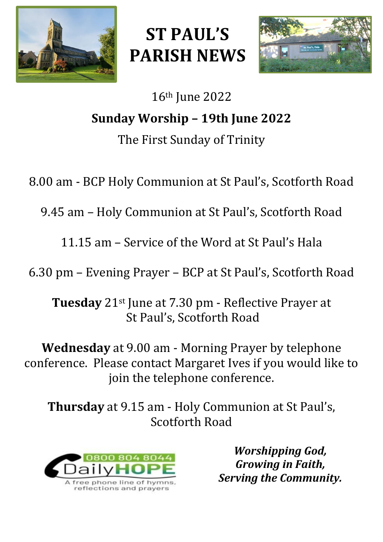

# **ST PAUL'S PARISH NEWS**



# 16th June 2022 **Sunday Worship – 19th June 2022** The First Sunday of Trinity

8.00 am - BCP Holy Communion at St Paul's, Scotforth Road

9.45 am – Holy Communion at St Paul's, Scotforth Road

11.15 am – Service of the Word at St Paul's Hala

6.30 pm – Evening Prayer – BCP at St Paul's, Scotforth Road

**Tuesday** 21st June at 7.30 pm - Reflective Prayer at St Paul's, Scotforth Road

**Wednesday** at 9.00 am - Morning Prayer by telephone conference. Please contact Margaret Ives if you would like to join the telephone conference.

**Thursday** at 9.15 am - Holy Communion at St Paul's, Scotforth Road



*Worshipping God, Growing in Faith, Serving the Community.*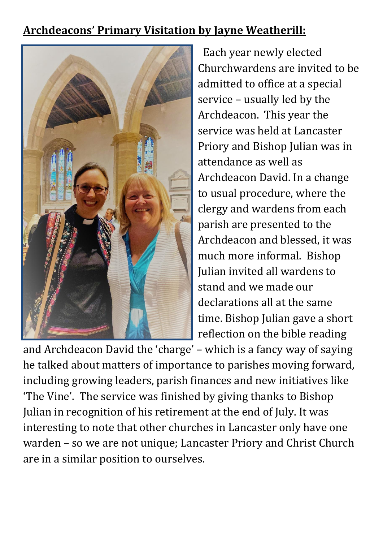# **Archdeacons' Primary Visitation by Jayne Weatherill:**



 Each year newly elected Churchwardens are invited to be admitted to office at a special service – usually led by the Archdeacon. This year the service was held at Lancaster Priory and Bishop Julian was in attendance as well as Archdeacon David. In a change to usual procedure, where the clergy and wardens from each parish are presented to the Archdeacon and blessed, it was much more informal. Bishop Julian invited all wardens to stand and we made our declarations all at the same time. Bishop Julian gave a short reflection on the bible reading

and Archdeacon David the 'charge' – which is a fancy way of saying he talked about matters of importance to parishes moving forward, including growing leaders, parish finances and new initiatives like 'The Vine'. The service was finished by giving thanks to Bishop Julian in recognition of his retirement at the end of July. It was interesting to note that other churches in Lancaster only have one warden – so we are not unique; Lancaster Priory and Christ Church are in a similar position to ourselves.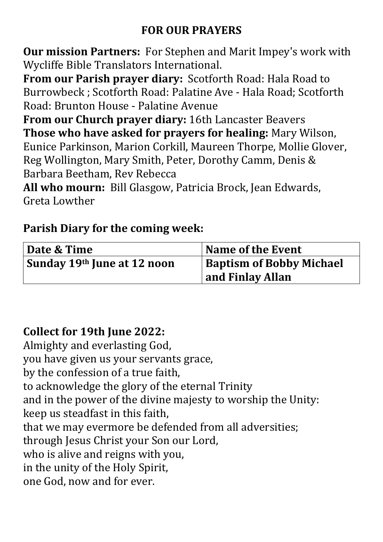# **FOR OUR PRAYERS**

**Our mission Partners:** For Stephen and Marit Impey's work with Wycliffe Bible Translators International.

**From our Parish prayer diary:** Scotforth Road: Hala Road to Burrowbeck ; Scotforth Road: Palatine Ave - Hala Road; Scotforth Road: Brunton House - Palatine Avenue

**From our Church prayer diary:** 16th Lancaster Beavers **Those who have asked for prayers for healing:** Mary Wilson, Eunice Parkinson, Marion Corkill, Maureen Thorpe, Mollie Glover, Reg Wollington, Mary Smith, Peter, Dorothy Camm, Denis & Barbara Beetham, Rev Rebecca

**All who mourn:** Bill Glasgow, Patricia Brock, Jean Edwards, Greta Lowther

#### **Parish Diary for the coming week:**

| Date & Time                 | Name of the Event               |
|-----------------------------|---------------------------------|
| Sunday 19th June at 12 noon | <b>Baptism of Bobby Michael</b> |
|                             | and Finlay Allan                |

# **Collect for 19th June 2022:**

Almighty and everlasting God, you have given us your servants grace, by the confession of a true faith, to acknowledge the glory of the eternal Trinity and in the power of the divine majesty to worship the Unity: keep us steadfast in this faith, that we may evermore be defended from all adversities; through Jesus Christ your Son our Lord, who is alive and reigns with you, in the unity of the Holy Spirit, one God, now and for ever.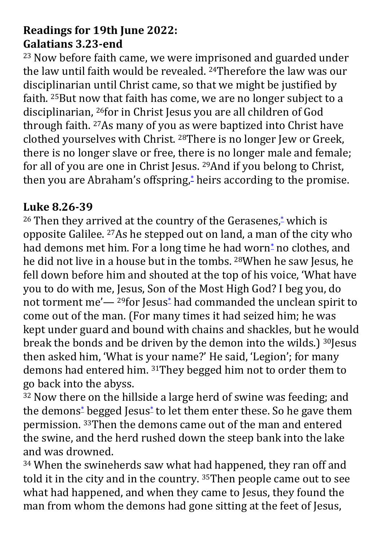# **Readings for 19th June 2022: Galatians 3.23-end**

<sup>23</sup> Now before faith came, we were imprisoned and guarded under the law until faith would be revealed. 24Therefore the law was our disciplinarian until Christ came, so that we might be justified by faith. 25But now that faith has come, we are no longer subject to a disciplinarian, 26for in Christ Jesus you are all children of God through faith. 27As many of you as were baptized into Christ have clothed yourselves with Christ. 28There is no longer Jew or Greek, there is no longer slave or free, there is no longer male and female; for all of you are one in Christ Jesus. 29And if you belong to Christ, then you are Abraham's offspring,<sup>[\\*](javascript:void(0);)</sup> heirs according to the promise.

#### **Luke 8.26-39**

<sup>26</sup> Then they arrived at the country of the Gerasenes,<sup>[\\*](javascript:void(0);)</sup> which is opposite Galilee. 27As he stepped out on land, a man of the city who had demons met him. For a long time he had worn<sup>[\\*](javascript:void(0);)</sup> no clothes, and he did not live in a house but in the tombs. 28When he saw Jesus, he fell down before him and shouted at the top of his voice, 'What have you to do with me, Jesus, Son of the Most High God? I beg you, do not torment me'— <sup>29</sup>for Jesus[\\*](javascript:void(0);) had commanded the unclean spirit to come out of the man. (For many times it had seized him; he was kept under guard and bound with chains and shackles, but he would break the bonds and be driven by the demon into the wilds.) 30Jesus then asked him, 'What is your name?' He said, 'Legion'; for many demons had entered him. 31They begged him not to order them to go back into the abyss.

<sup>32</sup> Now there on the hillside a large herd of swine was feeding; and the demons[\\*](javascript:void(0);) begged Jesus[\\*](javascript:void(0);) to let them enter these. So he gave them permission. 33Then the demons came out of the man and entered the swine, and the herd rushed down the steep bank into the lake and was drowned.

<sup>34</sup> When the swineherds saw what had happened, they ran off and told it in the city and in the country. 35Then people came out to see what had happened, and when they came to Jesus, they found the man from whom the demons had gone sitting at the feet of Jesus,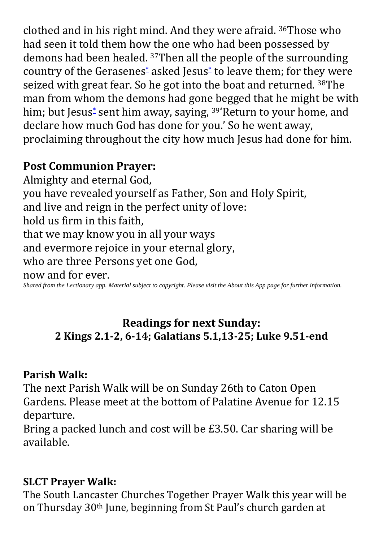clothed and in his right mind. And they were afraid. 36Those who had seen it told them how the one who had been possessed by demons had been healed. 37Then all the people of the surrounding country of the Gerasenes[\\*](javascript:void(0);) asked Jesus[\\*](javascript:void(0);) to leave them; for they were seized with great fear. So he got into the boat and returned. 38The man from whom the demons had gone begged that he might be with him; but Jesus<sup>[\\*](javascript:void(0);)</sup> sent him away, saying, <sup>39</sup>'Return to your home, and declare how much God has done for you.' So he went away, proclaiming throughout the city how much Jesus had done for him.

# **Post Communion Prayer:**

Almighty and eternal God, you have revealed yourself as Father, Son and Holy Spirit, and live and reign in the perfect unity of love: hold us firm in this faith, that we may know you in all your ways and evermore rejoice in your eternal glory, who are three Persons yet one God,

now and for ever.

*Shared from the Lectionary app. Material subject to copyright. Please visit the About this App page for further information.*

#### **Readings for next Sunday: 2 Kings 2.1-2, 6-14; Galatians 5.1,13-25; Luke 9.51-end**

#### **Parish Walk:**

The next Parish Walk will be on Sunday 26th to Caton Open Gardens. Please meet at the bottom of Palatine Avenue for 12.15 departure.

Bring a packed lunch and cost will be £3.50. Car sharing will be available.

#### **SLCT Prayer Walk:**

The South Lancaster Churches Together Prayer Walk this year will be on Thursday 30th June, beginning from St Paul's church garden at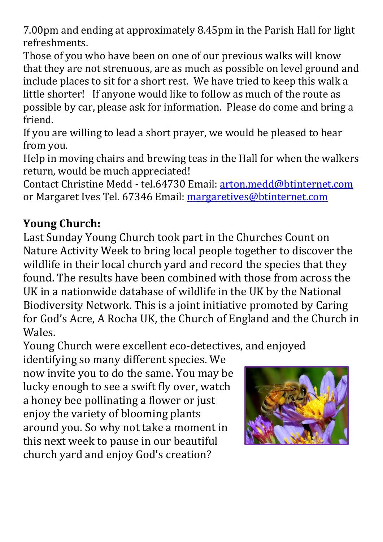7.00pm and ending at approximately 8.45pm in the Parish Hall for light refreshments.

Those of you who have been on one of our previous walks will know that they are not strenuous, are as much as possible on level ground and include places to sit for a short rest. We have tried to keep this walk a little shorter! If anyone would like to follow as much of the route as possible by car, please ask for information. Please do come and bring a friend.

If you are willing to lead a short prayer, we would be pleased to hear from you.

Help in moving chairs and brewing teas in the Hall for when the walkers return, would be much appreciated!

Contact Christine Medd - tel.64730 Email: [arton.medd@btinternet.com](mailto:arton.medd@btinternet.com) or Margaret Ives Tel. 67346 Email: [margaretives@btinternet.com](mailto:margaretives@btinternet.com)

# **Young Church:**

Last Sunday Young Church took part in the Churches Count on Nature Activity Week to bring local people together to discover the wildlife in their local church yard and record the species that they found. The results have been combined with those from across the UK in a nationwide database of wildlife in the UK by the National Biodiversity Network. This is a joint initiative promoted by Caring for God's Acre, A Rocha UK, the Church of England and the Church in Wales.

Young Church were excellent eco-detectives, and enjoyed

identifying so many different species. We now invite you to do the same. You may be lucky enough to see a swift fly over, watch a honey bee pollinating a flower or just enjoy the variety of blooming plants around you. So why not take a moment in this next week to pause in our beautiful church yard and enjoy God's creation?

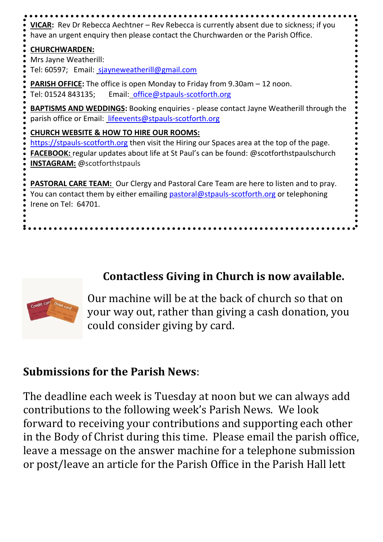

#### **Contactless Giving in Church is now available.**



Our machine will be at the back of church so that on your way out, rather than giving a cash donation, you could consider giving by card.

#### **Submissions for the Parish News**:

The deadline each week is Tuesday at noon but we can always add contributions to the following week's Parish News. We look forward to receiving your contributions and supporting each other in the Body of Christ during this time. Please email the parish office, leave a message on the answer machine for a telephone submission or post/leave an article for the Parish Office in the Parish Hall lett